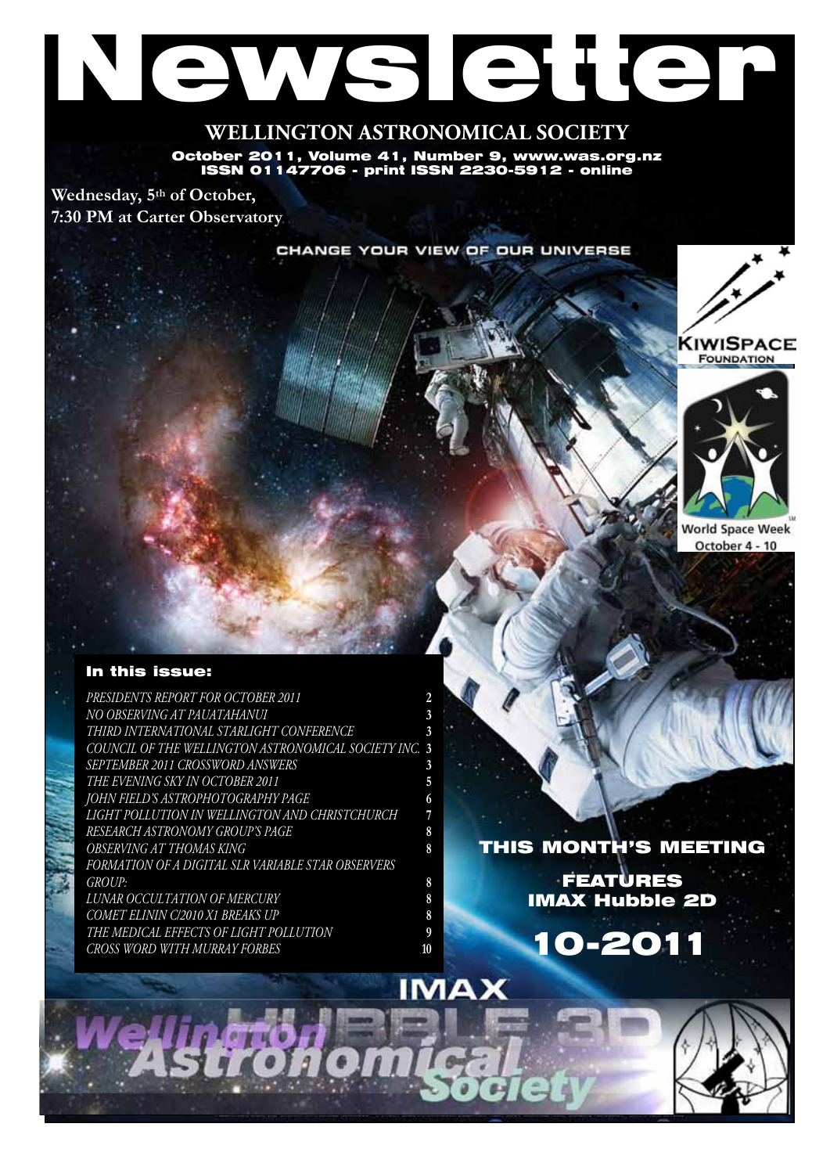# Newsletter

# **WELLINGTON ASTRONOMICAL SOCIETY**

October 2011, Volume 41, Number 9, www.was.org.nz ISSN 01147706 - print ISSN 2230-5912 - online

**Wednesday, 5th of October, 7:30 PM at Carter Observatory**

CHANGE YOUR VIEW OF OUR UNIVERSE







**World Space Week** October 4 - 10

## In this issue:

*Presidents Report for October 2011* **2** *NO OBSERVING AT PAUATAHANUI* **3** *Third International Starlight Conference* **3** *COUNCIL OF THE WELLINGTON ASTRONOMICAL SOCIETY INC.* **3** *September 2011 Crossword answers* **3** *The Evening Sky in October 2011* **5** *John Field's astrophotography page* **6** *Light Pollution in Wellington and Christchurch* **7** *Research Astronomy Group's Page* **8** *OBSERVING AT THOMAS KING* **8** *Formation of a Digital SLR Variable Star Observers Group:* **8** *Lunar Occultation of Mercury* **8** *Comet Elinin C/2010 X1 Breaks Up* **8** *The medical effects of light pollution* **9** *Cross Word with Murray Forbes* **10**

# THIS MONTH'S MEETING

FEATURES IMAX Hubble 2D

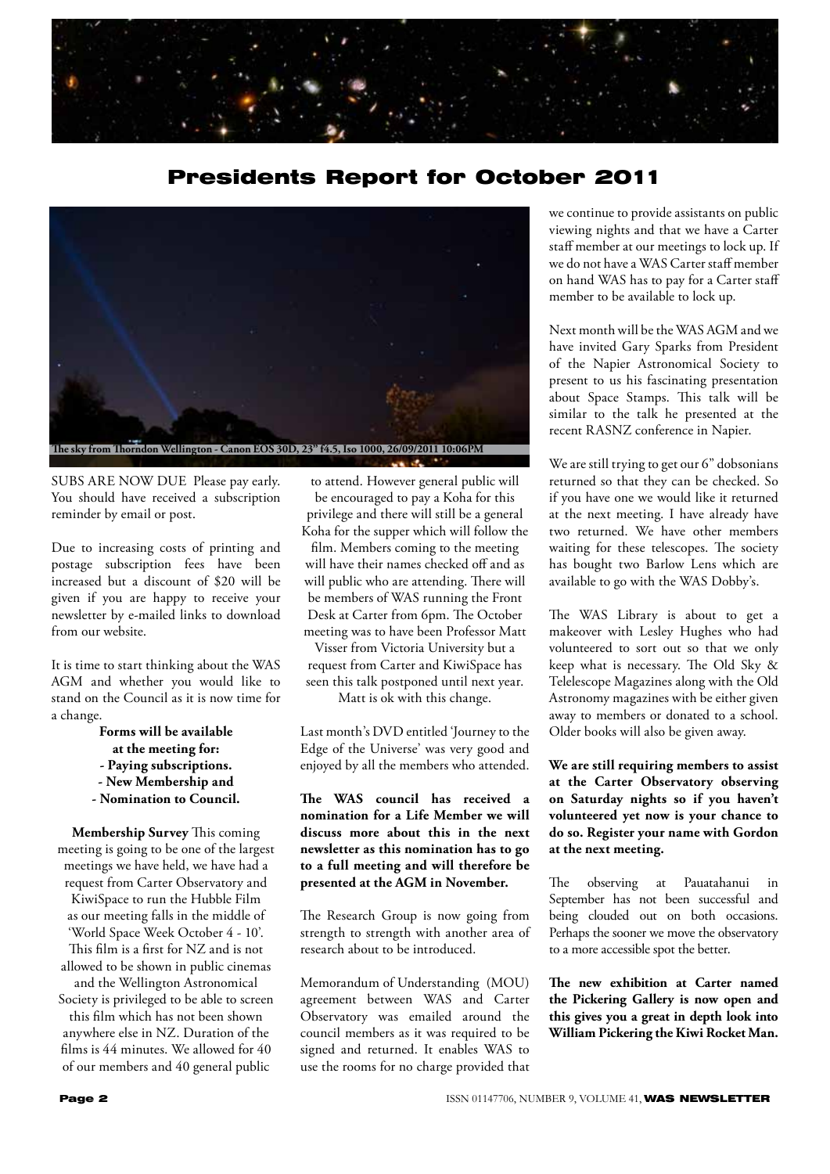

# Presidents Report for October 2011



SUBS ARE NOW DUE Please pay early. You should have received a subscription reminder by email or post.

Due to increasing costs of printing and postage subscription fees have been increased but a discount of \$20 will be given if you are happy to receive your newsletter by e-mailed links to download from our website.

It is time to start thinking about the WAS AGM and whether you would like to stand on the Council as it is now time for a change.

- **Forms will be available**
- **at the meeting for:**
- **Paying subscriptions.**
- **New Membership and**
- **Nomination to Council.**

**Membership Survey** This coming meeting is going to be one of the largest meetings we have held, we have had a request from Carter Observatory and KiwiSpace to run the Hubble Film as our meeting falls in the middle of 'World Space Week October 4 - 10'. This film is a first for NZ and is not allowed to be shown in public cinemas

and the Wellington Astronomical Society is privileged to be able to screen this film which has not been shown anywhere else in NZ. Duration of the films is 44 minutes. We allowed for 40 of our members and 40 general public

to attend. However general public will be encouraged to pay a Koha for this privilege and there will still be a general Koha for the supper which will follow the

film. Members coming to the meeting will have their names checked off and as will public who are attending. There will be members of WAS running the Front Desk at Carter from 6pm. The October meeting was to have been Professor Matt

Visser from Victoria University but a request from Carter and KiwiSpace has seen this talk postponed until next year. Matt is ok with this change.

Last month's DVD entitled 'Journey to the Edge of the Universe' was very good and enjoyed by all the members who attended.

**The WAS council has received a nomination for a Life Member we will discuss more about this in the next newsletter as this nomination has to go to a full meeting and will therefore be presented at the AGM in November.**

The Research Group is now going from strength to strength with another area of research about to be introduced.

Memorandum of Understanding (MOU) agreement between WAS and Carter Observatory was emailed around the council members as it was required to be signed and returned. It enables WAS to use the rooms for no charge provided that we continue to provide assistants on public viewing nights and that we have a Carter staff member at our meetings to lock up. If we do not have a WAS Carter staff member on hand WAS has to pay for a Carter staff member to be available to lock up.

Next month will be the WAS AGM and we have invited Gary Sparks from President of the Napier Astronomical Society to present to us his fascinating presentation about Space Stamps. This talk will be similar to the talk he presented at the recent RASNZ conference in Napier.

We are still trying to get our 6" dobsonians returned so that they can be checked. So if you have one we would like it returned at the next meeting. I have already have two returned. We have other members waiting for these telescopes. The society has bought two Barlow Lens which are available to go with the WAS Dobby's.

The WAS Library is about to get a makeover with Lesley Hughes who had volunteered to sort out so that we only keep what is necessary. The Old Sky & Telelescope Magazines along with the Old Astronomy magazines with be either given away to members or donated to a school. Older books will also be given away.

### **We are still requiring members to assist at the Carter Observatory observing on Saturday nights so if you haven't volunteered yet now is your chance to do so. Register your name with Gordon at the next meeting.**

The observing at Pauatahanui in September has not been successful and being clouded out on both occasions. Perhaps the sooner we move the observatory to a more accessible spot the better.

**The new exhibition at Carter named the Pickering Gallery is now open and this gives you a great in depth look into William Pickering the Kiwi Rocket Man.**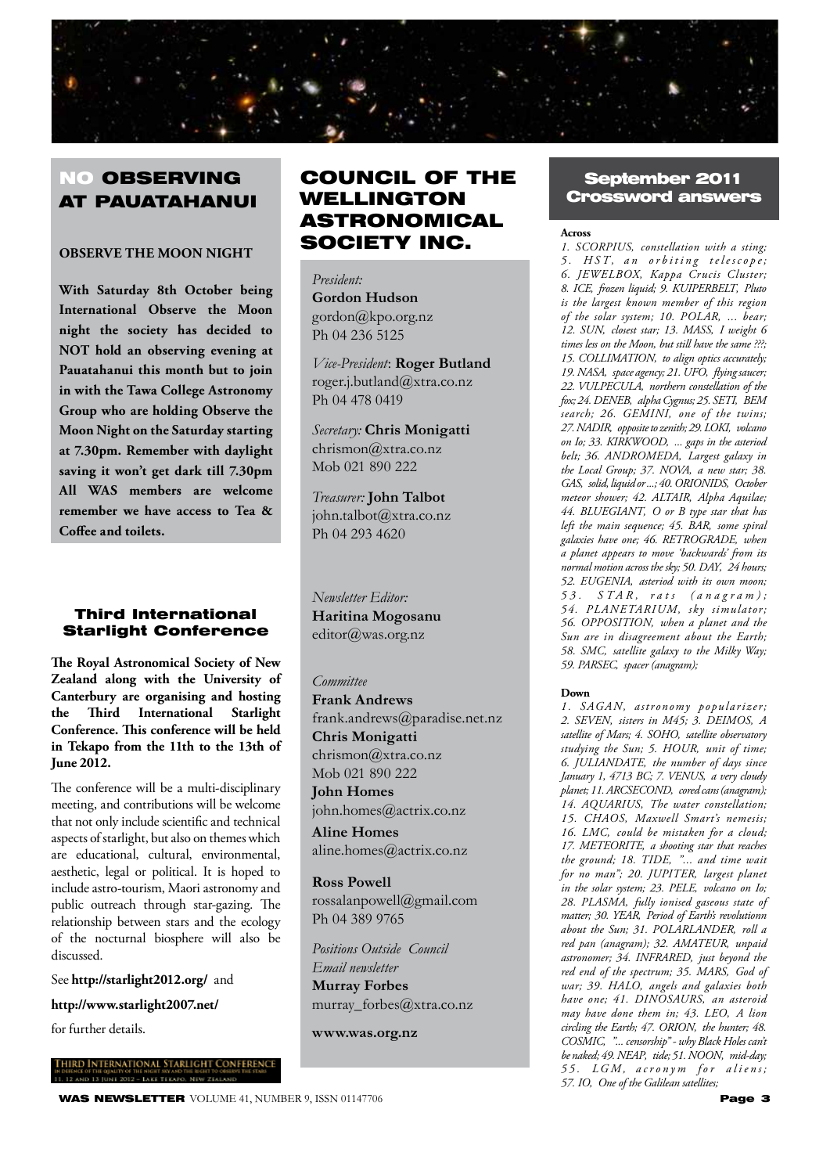

# **NO OBSERVING** AT PAUATAHANUI

## **OBSERVE THE MOON NIGHT**

**With Saturday 8th October being International Observe the Moon night the society has decided to NOT hold an observing evening at Pauatahanui this month but to join in with the Tawa College Astronomy Group who are holding Observe the Moon Night on the Saturday starting at 7.30pm. Remember with daylight saving it won't get dark till 7.30pm All WAS members are welcome remember we have access to Tea & Coffee and toilets.**

#### Third International Starlight Conference

**The Royal Astronomical Society of New Zealand along with the University of Canterbury are organising and hosting the Third International Starlight Conference. This conference will be held in Tekapo from the 11th to the 13th of June 2012.** 

The conference will be a multi-disciplinary meeting, and contributions will be welcome that not only include scientific and technical aspects of starlight, but also on themes which are educational, cultural, environmental, aesthetic, legal or political. It is hoped to include astro-tourism, Maori astronomy and public outreach through star-gazing. The relationship between stars and the ecology of the nocturnal biosphere will also be discussed.

#### See **http://starlight2012.org/** and

**http://www.starlight2007.net/** 

for further details.

vternational Starlight Conferenc

#### WAS NEWSLETTER VOLUME 41, NUMBER 9, ISSN 01147706 **Page 3** Page 3

# COUNCIL OF THE WELLINGTON ASTRONOMICAL SOCIETY INC.

#### *President:*

**Gordon Hudson** gordon@kpo.org.nz Ph 04 236 5125

*Vice-President*: **Roger Butland** roger.j.butland@xtra.co.nz Ph 04 478 0419

*Secretary:* **Chris Monigatti** chrismon@xtra.co.nz Mob 021 890 222

*Treasurer:* **John Talbot** john.talbot@xtra.co.nz Ph 04 293 4620

*Newsletter Editor:*  **Haritina Mogosanu** editor@was.org.nz

#### *Committee*

**Frank Andrews** frank.andrews@paradise.net.nz **Chris Monigatti** chrismon@xtra.co.nz Mob 021 890 222 **John Homes** john.homes@actrix.co.nz

**Aline Homes** aline.homes@actrix.co.nz

**Ross Powell** rossalanpowell@gmail.com Ph 04 389 9765

*Positions Outside Council Email newsletter* **Murray Forbes** murray\_forbes@xtra.co.nz

**www.was.org.nz**

## September 2011 Crossword answers

#### **Across**

*1. SCORPIUS' constellation with a sting; 5 . H ST ' a n o r b i t i n g t e l e s c o p e ; 6. JEWELBOX' Kappa Crucis Cluster; 8. ICE' frozen liquid; 9. KUIPERBELT' Pluto is the largest known member of this region of the solar system; 10. POLAR' ... bear; 12. SUN' closest star; 13. MASS' I weight 6 times less on the Moon, but still have the same ???; 15. COLLIMATION' to align optics accurately; 19. NASA' space agency; 21. UFO' flying saucer; 22. VULPECULA' northern constellation of the fox; 24. DENEB' alpha Cygnus; 25. SETI' BEM search; 26. GEMINI' one of the twins; 27. NADIR' opposite to zenith; 29. LOKI' volcano on Io; 33. KIRKWOOD' ... gaps in the asteriod belt; 36. ANDROMEDA' Largest galaxy in the Local Group; 37. NOVA' a new star; 38.*  GAS, solid, liquid or ...; 40. ORIONIDS, October *meteor shower; 42. ALTAIR' Alpha Aquilae; 44. BLUEGIANT' O or B type star that has left the main sequence; 45. BAR' some spiral galaxies have one; 46. RETROGRADE' when a planet appears to move 'backwards' from its normal motion across the sky; 50. DAY' 24 hours; 52. EUGENIA' asteriod with its own moon; 5 3 . ST A R ' r a t s ( a n a g r a m ) ; 54. PLANETARIUM' sky simulator; 56. OPPOSITION' when a planet and the Sun are in disagreement about the Earth; 58. SMC' satellite galaxy to the Milky Way; 59. PARSEC' spacer (anagram);* 

#### **Down**

*1. SAGAN' astronomy popularizer; 2. SEVEN' sisters in M45; 3. DEIMOS' A satellite of Mars; 4. SOHO' satellite observatory studying the Sun; 5. HOUR' unit of time; 6. JULIANDATE' the number of days since January 1, 4713 BC; 7. VENUS' a very cloudy planet; 11. ARCSECOND' cored cans (anagram); 14. AQUARIUS' The water constellation; 15. CHAOS' Maxwell Smart's nemesis; 16. LMC' could be mistaken for a cloud; 17. METEORITE' a shooting star that reaches the ground; 18. TIDE' "... and time wait for no man"; 20. JUPITER' largest planet in the solar system; 23. PELE' volcano on Io; 28. PLASMA' fully ionised gaseous state of matter; 30. YEAR' Period of Earth's revolutionn about the Sun; 31. POLARLANDER' roll a red pan (anagram); 32. AMATEUR' unpaid astronomer; 34. INFRARED' just beyond the red end of the spectrum; 35. MARS' God of war; 39. HALO' angels and galaxies both have one; 41. DINOSAURS' an asteroid may have done them in; 43. LEO, A lion circling the Earth; 47. ORION' the hunter; 48. COSMIC' "... censorship" - why Black Holes can't be naked; 49. NEAP' tide; 51. NOON' mid-day; 5 5 . LG M ' a c r o n y m f o r a l i e n s ; 57. IO' One of the Galilean satellites;*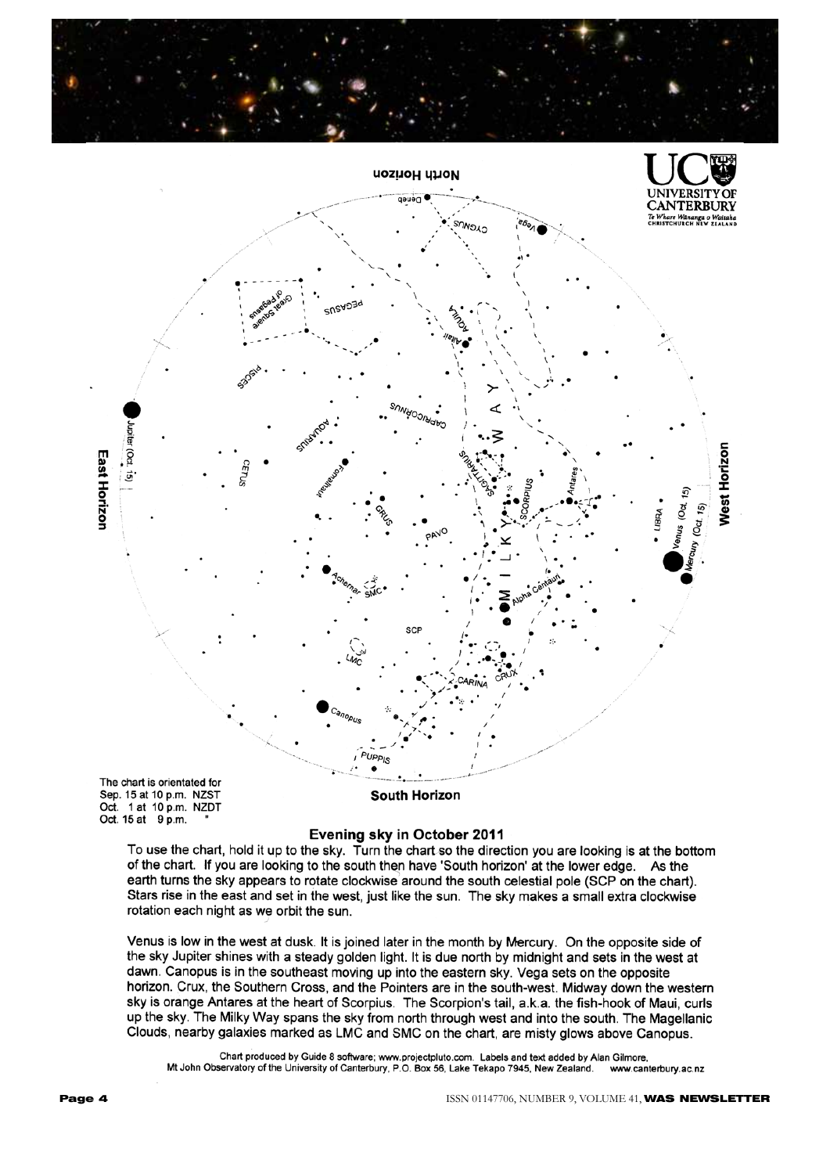



Oct. 1 at 10 p.m. NZDT Oct. 15 at 9 p.m.

#### Evening sky in October 2011

To use the chart, hold it up to the sky. Turn the chart so the direction you are looking is at the bottom of the chart. If you are looking to the south then have 'South horizon' at the lower edge. As the earth turns the sky appears to rotate clockwise around the south celestial pole (SCP on the chart). Stars rise in the east and set in the west, just like the sun. The sky makes a small extra clockwise rotation each night as we orbit the sun.

Venus is low in the west at dusk. It is joined later in the month by Mercury. On the opposite side of the sky Jupiter shines with a steady golden light. It is due north by midnight and sets in the west at dawn. Canopus is in the southeast moving up into the eastern sky. Vega sets on the opposite horizon. Crux, the Southern Cross, and the Pointers are in the south-west. Midway down the western sky is orange Antares at the heart of Scorpius. The Scorpion's tail, a.k.a. the fish-hook of Maui, curls up the sky. The Milky Way spans the sky from north through west and into the south. The Magellanic Clouds, nearby galaxies marked as LMC and SMC on the chart, are misty glows above Canopus.

Chart produced by Guide 8 software; www.projectpluto.com. Labels and text added by Alan Gilmore, Mt John Observatory of the University of Canterbury, P.O. Box 56, Lake Tekapo 7945, New Zealand. www.canterbury.ac.nz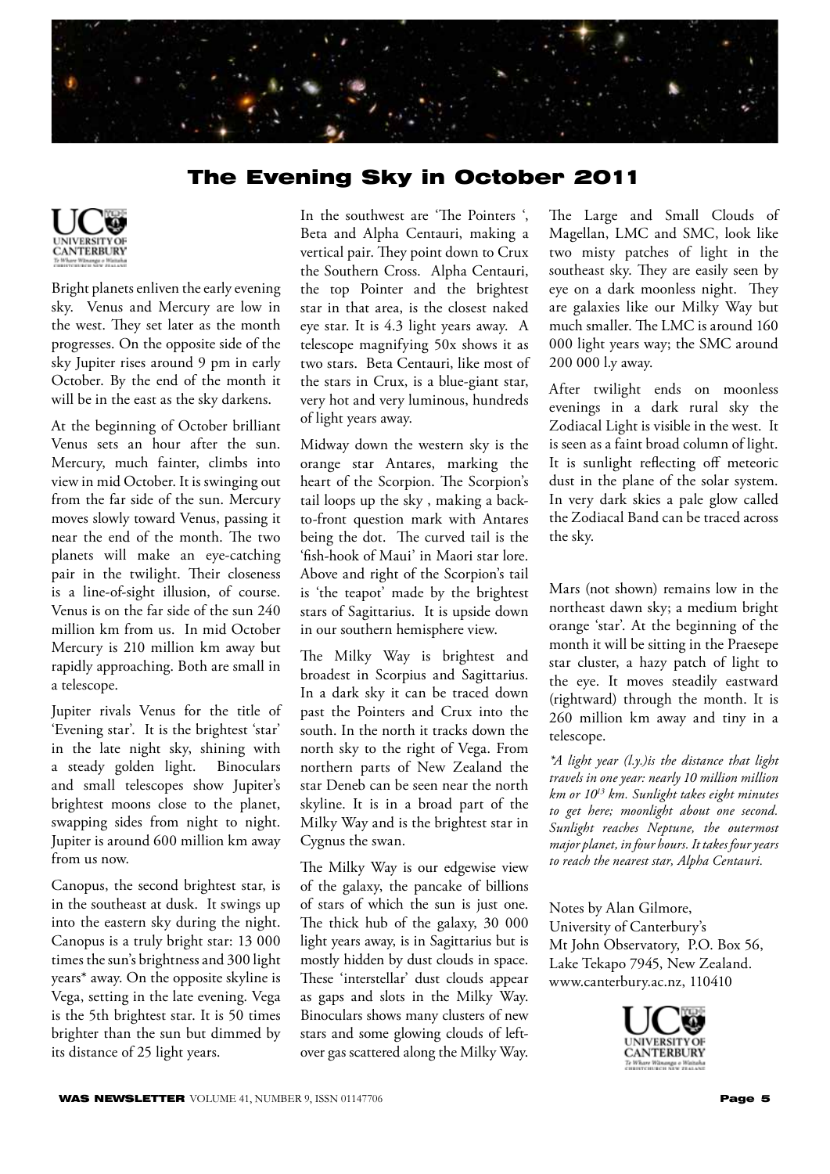

# The Evening Sky in October 2011



Bright planets enliven the early evening sky. Venus and Mercury are low in the west. They set later as the month progresses. On the opposite side of the sky Jupiter rises around 9 pm in early October. By the end of the month it will be in the east as the sky darkens.

At the beginning of October brilliant Venus sets an hour after the sun. Mercury, much fainter, climbs into view in mid October. It is swinging out from the far side of the sun. Mercury moves slowly toward Venus, passing it near the end of the month. The two planets will make an eye-catching pair in the twilight. Their closeness is a line-of-sight illusion, of course. Venus is on the far side of the sun 240 million km from us. In mid October Mercury is 210 million km away but rapidly approaching. Both are small in a telescope.

Jupiter rivals Venus for the title of 'Evening star'. It is the brightest 'star' in the late night sky, shining with a steady golden light. Binoculars and small telescopes show Jupiter's brightest moons close to the planet, swapping sides from night to night. Jupiter is around 600 million km away from us now.

Canopus, the second brightest star, is in the southeast at dusk. It swings up into the eastern sky during the night. Canopus is a truly bright star: 13 000 times the sun's brightness and 300 light years\* away. On the opposite skyline is Vega, setting in the late evening. Vega is the 5th brightest star. It is 50 times brighter than the sun but dimmed by its distance of 25 light years.

In the southwest are 'The Pointers ', Beta and Alpha Centauri, making a vertical pair. They point down to Crux the Southern Cross. Alpha Centauri, the top Pointer and the brightest star in that area, is the closest naked eye star. It is 4.3 light years away. A telescope magnifying 50x shows it as two stars. Beta Centauri, like most of the stars in Crux, is a blue-giant star, very hot and very luminous, hundreds of light years away.

Midway down the western sky is the orange star Antares, marking the heart of the Scorpion. The Scorpion's tail loops up the sky , making a backto-front question mark with Antares being the dot. The curved tail is the 'fish-hook of Maui' in Maori star lore. Above and right of the Scorpion's tail is 'the teapot' made by the brightest stars of Sagittarius. It is upside down in our southern hemisphere view.

The Milky Way is brightest and broadest in Scorpius and Sagittarius. In a dark sky it can be traced down past the Pointers and Crux into the south. In the north it tracks down the north sky to the right of Vega. From northern parts of New Zealand the star Deneb can be seen near the north skyline. It is in a broad part of the Milky Way and is the brightest star in Cygnus the swan.

The Milky Way is our edgewise view of the galaxy, the pancake of billions of stars of which the sun is just one. The thick hub of the galaxy, 30 000 light years away, is in Sagittarius but is mostly hidden by dust clouds in space. These 'interstellar' dust clouds appear as gaps and slots in the Milky Way. Binoculars shows many clusters of new stars and some glowing clouds of leftover gas scattered along the Milky Way. The Large and Small Clouds of Magellan, LMC and SMC, look like two misty patches of light in the southeast sky. They are easily seen by eye on a dark moonless night. They are galaxies like our Milky Way but much smaller. The LMC is around 160 000 light years way; the SMC around 200 000 l.y away.

After twilight ends on moonless evenings in a dark rural sky the Zodiacal Light is visible in the west. It is seen as a faint broad column of light. It is sunlight reflecting off meteoric dust in the plane of the solar system. In very dark skies a pale glow called the Zodiacal Band can be traced across the sky.

Mars (not shown) remains low in the northeast dawn sky; a medium bright orange 'star'. At the beginning of the month it will be sitting in the Praesepe star cluster, a hazy patch of light to the eye. It moves steadily eastward (rightward) through the month. It is 260 million km away and tiny in a telescope.

*\*A light year (l.y.)is the distance that light travels in one year: nearly 10 million million km or 1013 km. Sunlight takes eight minutes to get here; moonlight about one second. Sunlight reaches Neptune, the outermost major planet, in four hours. It takes four years to reach the nearest star, Alpha Centauri.*

Notes by Alan Gilmore, University of Canterbury's Mt John Observatory, P.O. Box 56, Lake Tekapo 7945, New Zealand. www.canterbury.ac.nz, 110410

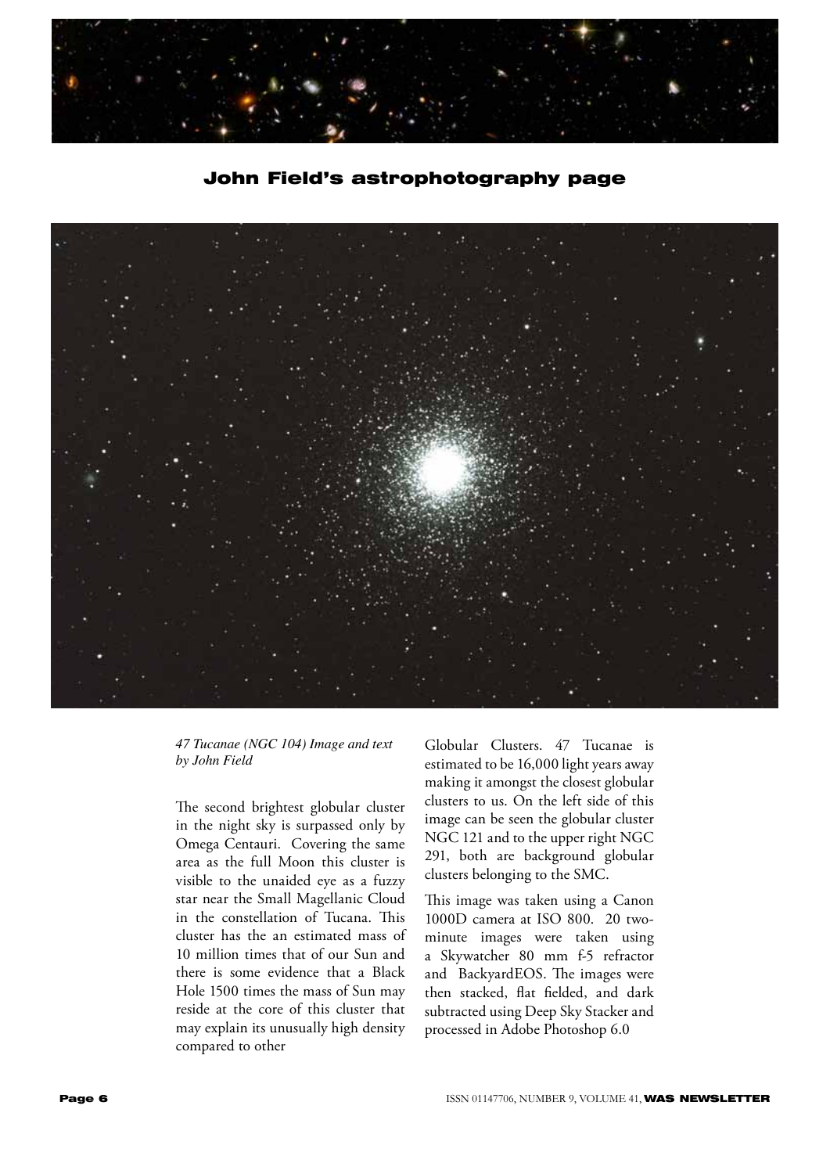

John Field's astrophotography page



## *47 Tucanae (NGC 104) Image and text by John Field*

The second brightest globular cluster in the night sky is surpassed only by Omega Centauri. Covering the same area as the full Moon this cluster is visible to the unaided eye as a fuzzy star near the Small Magellanic Cloud in the constellation of Tucana. This cluster has the an estimated mass of 10 million times that of our Sun and there is some evidence that a Black Hole 1500 times the mass of Sun may reside at the core of this cluster that may explain its unusually high density compared to other

Globular Clusters. 47 Tucanae is estimated to be 16,000 light years away making it amongst the closest globular clusters to us. On the left side of this image can be seen the globular cluster NGC 121 and to the upper right NGC 291, both are background globular clusters belonging to the SMC.

This image was taken using a Canon 1000D camera at ISO 800. 20 twominute images were taken using a Skywatcher 80 mm f-5 refractor and BackyardEOS. The images were then stacked, flat fielded, and dark subtracted using Deep Sky Stacker and processed in Adobe Photoshop 6.0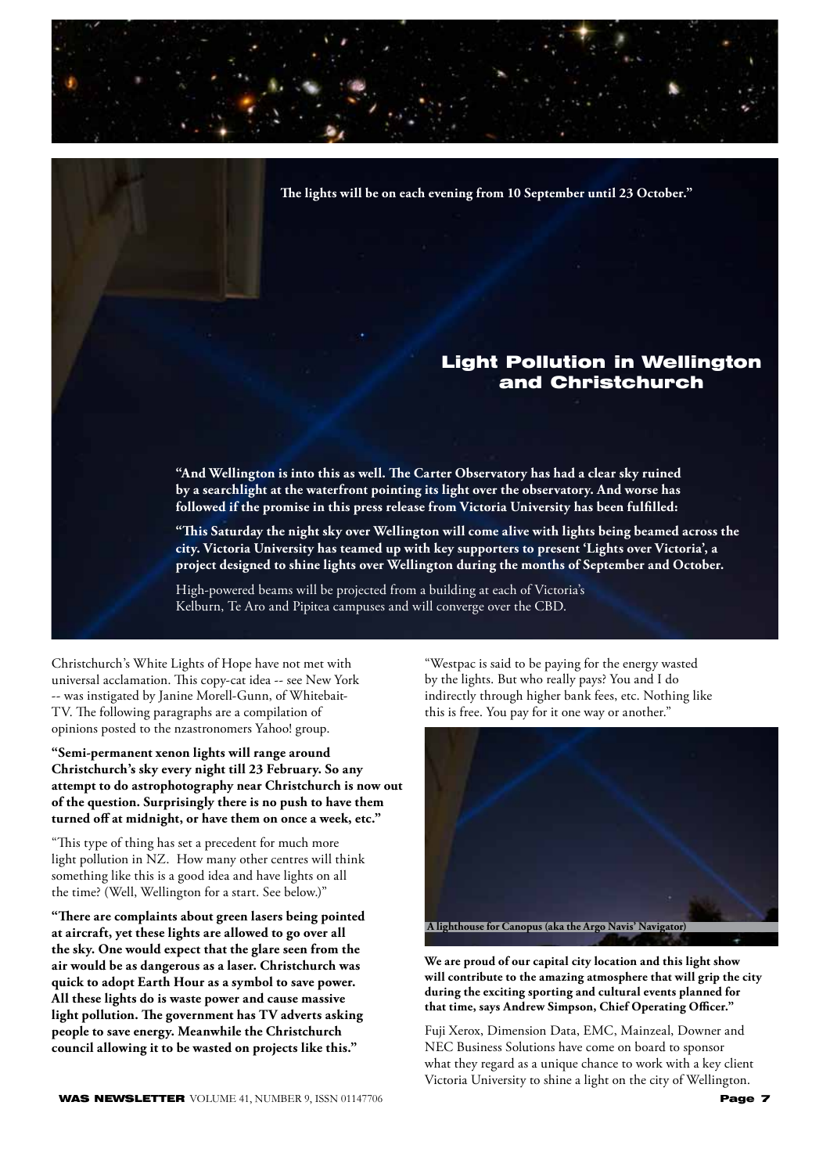**The lights will be on each evening from 10 September until 23 October."**

## Light Pollution in Wellington and Christchurch

**"And Wellington is into this as well. The Carter Observatory has had a clear sky ruined by a searchlight at the waterfront pointing its light over the observatory. And worse has followed if the promise in this press release from Victoria University has been fulfilled:** 

**"This Saturday the night sky over Wellington will come alive with lights being beamed across the city. Victoria University has teamed up with key supporters to present 'Lights over Victoria', a project designed to shine lights over Wellington during the months of September and October.**

High-powered beams will be projected from a building at each of Victoria's Kelburn, Te Aro and Pipitea campuses and will converge over the CBD.

Christchurch's White Lights of Hope have not met with universal acclamation. This copy-cat idea -- see New York -- was instigated by Janine Morell-Gunn, of Whitebait-TV. The following paragraphs are a compilation of opinions posted to the nzastronomers Yahoo! group.

**"Semi-permanent xenon lights will range around Christchurch's sky every night till 23 February. So any attempt to do astrophotography near Christchurch is now out of the question. Surprisingly there is no push to have them turned off at midnight, or have them on once a week, etc."**

"This type of thing has set a precedent for much more light pollution in NZ. How many other centres will think something like this is a good idea and have lights on all the time? (Well, Wellington for a start. See below.)"

**"There are complaints about green lasers being pointed at aircraft, yet these lights are allowed to go over all the sky. One would expect that the glare seen from the air would be as dangerous as a laser. Christchurch was quick to adopt Earth Hour as a symbol to save power. All these lights do is waste power and cause massive light pollution. The government has TV adverts asking people to save energy. Meanwhile the Christchurch council allowing it to be wasted on projects like this."**

"Westpac is said to be paying for the energy wasted by the lights. But who really pays? You and I do indirectly through higher bank fees, etc. Nothing like this is free. You pay for it one way or another."



**We are proud of our capital city location and this light show will contribute to the amazing atmosphere that will grip the city during the exciting sporting and cultural events planned for that time, says Andrew Simpson, Chief Operating Officer."**

Fuji Xerox, Dimension Data, EMC, Mainzeal, Downer and NEC Business Solutions have come on board to sponsor what they regard as a unique chance to work with a key client Victoria University to shine a light on the city of Wellington.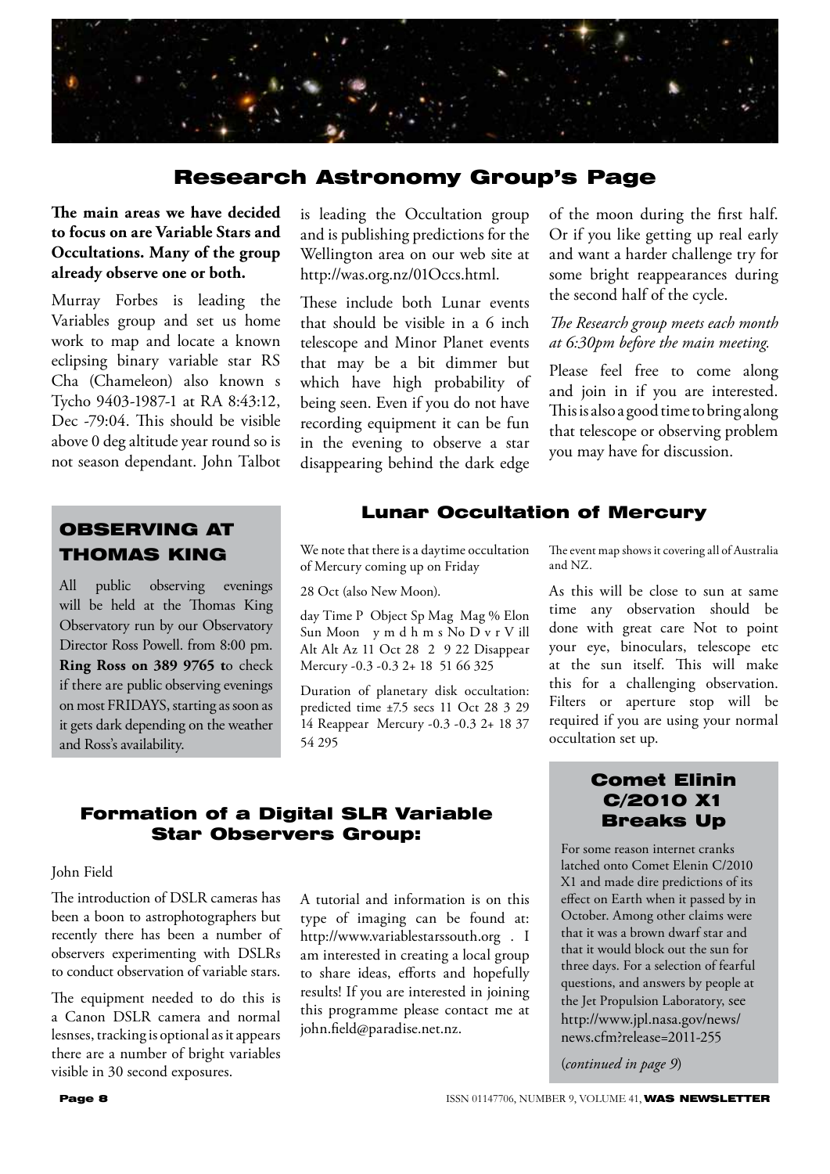

## Research Astronomy Group's Page

## **The main areas we have decided to focus on are Variable Stars and Occultations. Many of the group already observe one or both.**

Murray Forbes is leading the Variables group and set us home work to map and locate a known eclipsing binary variable star RS Cha (Chameleon) also known s Tycho 9403-1987-1 at RA 8:43:12, Dec -79:04. This should be visible above 0 deg altitude year round so is not season dependant. John Talbot

OBSERVING AT THOMAS KING

All public observing evenings will be held at the Thomas King Observatory run by our Observatory Director Ross Powell. from 8:00 pm. **Ring Ross on 389 9765 t**o check if there are public observing evenings on most FRIDAYS, starting as soon as it gets dark depending on the weather and Ross's availability.

is leading the Occultation group and is publishing predictions for the Wellington area on our web site at http://was.org.nz/01Occs.html.

These include both Lunar events that should be visible in a 6 inch telescope and Minor Planet events that may be a bit dimmer but which have high probability of being seen. Even if you do not have recording equipment it can be fun in the evening to observe a star disappearing behind the dark edge

of the moon during the first half. Or if you like getting up real early and want a harder challenge try for some bright reappearances during the second half of the cycle.

## *The Research group meets each month at 6:30pm before the main meeting.*

Please feel free to come along and join in if you are interested. This is also a good time to bring along that telescope or observing problem you may have for discussion.

## Lunar Occultation of Mercury

We note that there is a daytime occultation of Mercury coming up on Friday

28 Oct (also New Moon).

day Time P Object Sp Mag Mag % Elon Sun Moon y m d h m s No D v r V ill Alt Alt Az 11 Oct 28 2 9 22 Disappear Mercury -0.3 -0.3 2+ 18 51 66 325

Duration of planetary disk occultation: predicted time ±7.5 secs 11 Oct 28 3 29 14 Reappear Mercury -0.3 -0.3 2+ 18 37 54 295

The event map shows it covering all of Australia and NZ.

As this will be close to sun at same time any observation should be done with great care Not to point your eye, binoculars, telescope etc at the sun itself. This will make this for a challenging observation. Filters or aperture stop will be required if you are using your normal occultation set up.

## Formation of a Digital SLR Variable Star Observers Group:

John Field

The introduction of DSLR cameras has been a boon to astrophotographers but recently there has been a number of observers experimenting with DSLRs to conduct observation of variable stars.

The equipment needed to do this is a Canon DSLR camera and normal lesnses, tracking is optional as it appears there are a number of bright variables visible in 30 second exposures.

A tutorial and information is on this type of imaging can be found at: http://www.variablestarssouth.org . I am interested in creating a local group to share ideas, efforts and hopefully results! If you are interested in joining this programme please contact me at john.field@paradise.net.nz.

## Comet Elinin C/2010 X1 Breaks Up

For some reason internet cranks latched onto Comet Elenin C/2010 X1 and made dire predictions of its effect on Earth when it passed by in October. Among other claims were that it was a brown dwarf star and that it would block out the sun for three days. For a selection of fearful questions, and answers by people at the Jet Propulsion Laboratory, see http://www.jpl.nasa.gov/news/ news.cfm?release=2011-255

(*continued in page 9*)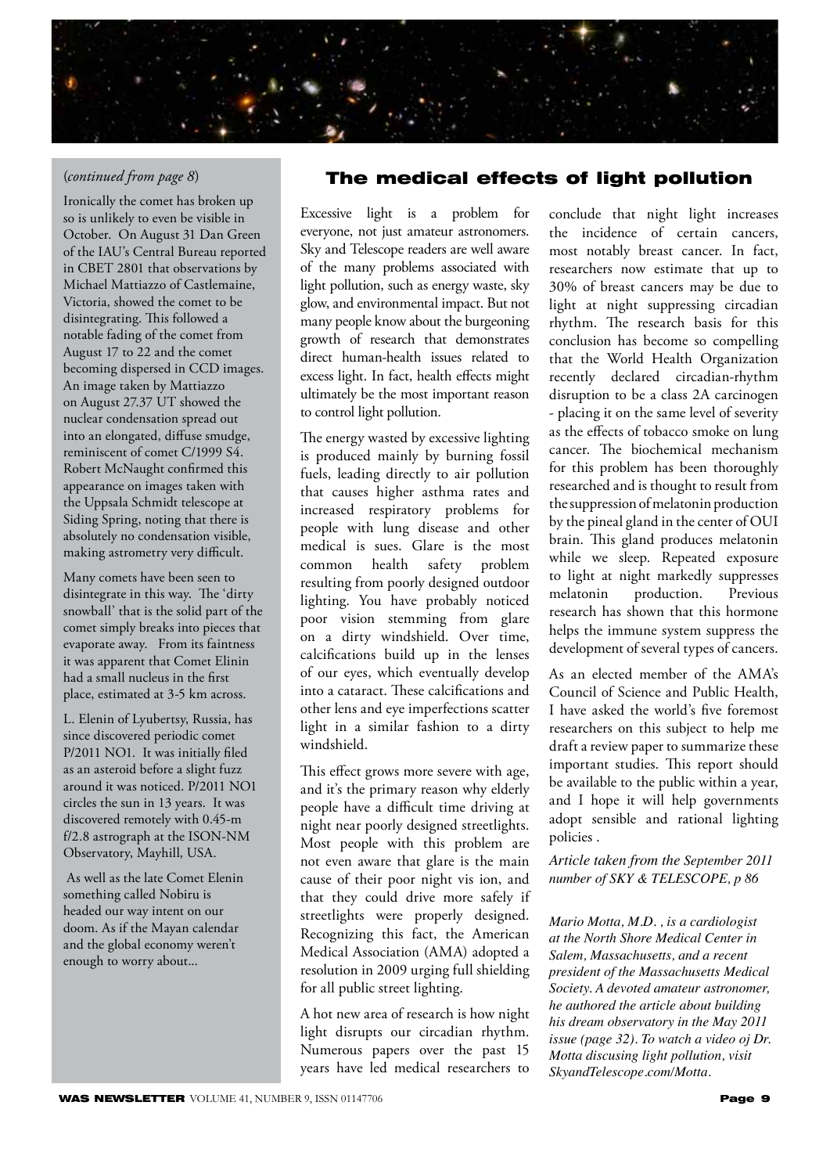

## (*continued from page 8*)

Ironically the comet has broken up so is unlikely to even be visible in October. On August 31 Dan Green of the IAU's Central Bureau reported in CBET 2801 that observations by Michael Mattiazzo of Castlemaine, Victoria, showed the comet to be disintegrating. This followed a notable fading of the comet from August 17 to 22 and the comet becoming dispersed in CCD images. An image taken by Mattiazzo on August 27.37 UT showed the nuclear condensation spread out into an elongated, diffuse smudge, reminiscent of comet C/1999 S4. Robert McNaught confirmed this appearance on images taken with the Uppsala Schmidt telescope at Siding Spring, noting that there is absolutely no condensation visible, making astrometry very difficult.

Many comets have been seen to disintegrate in this way. The 'dirty snowball' that is the solid part of the comet simply breaks into pieces that evaporate away. From its faintness it was apparent that Comet Elinin had a small nucleus in the first place, estimated at 3-5 km across.

L. Elenin of Lyubertsy, Russia, has since discovered periodic comet P/2011 NO1. It was initially filed as an asteroid before a slight fuzz around it was noticed. P/2011 NO1 circles the sun in 13 years. It was discovered remotely with 0.45-m f/2.8 astrograph at the ISON-NM Observatory, Mayhill, USA.

 As well as the late Comet Elenin something called Nobiru is headed our way intent on our doom. As if the Mayan calendar and the global economy weren't enough to worry about...

## The medical effects of light pollution

Excessive light is a problem for everyone, not just amateur astronomers. Sky and Telescope readers are well aware of the many problems associated with light pollution, such as energy waste, sky glow, and environmental impact. But not many people know about the burgeoning growth of research that demonstrates direct human-health issues related to excess light. In fact, health effects might ultimately be the most important reason to control light pollution.

The energy wasted by excessive lighting is produced mainly by burning fossil fuels, leading directly to air pollution that causes higher asthma rates and increased respiratory problems for people with lung disease and other medical is sues. Glare is the most common health safety problem resulting from poorly designed outdoor lighting. You have probably noticed poor vision stemming from glare on a dirty windshield. Over time, calcifications build up in the lenses of our eyes, which eventually develop into a cataract. These calcifications and other lens and eye imperfections scatter light in a similar fashion to a dirty windshield.

This effect grows more severe with age, and it's the primary reason why elderly people have a difficult time driving at night near poorly designed streetlights. Most people with this problem are not even aware that glare is the main cause of their poor night vis ion, and that they could drive more safely if streetlights were properly designed. Recognizing this fact, the American Medical Association (AMA) adopted a resolution in 2009 urging full shielding for all public street lighting.

A hot new area of research is how night light disrupts our circadian rhythm. Numerous papers over the past 15 years have led medical researchers to conclude that night light increases the incidence of certain cancers, most notably breast cancer. In fact, researchers now estimate that up to 30% of breast cancers may be due to light at night suppressing circadian rhythm. The research basis for this conclusion has become so compelling that the World Health Organization recently declared circadian-rhythm disruption to be a class 2A carcinogen - placing it on the same level of severity as the effects of tobacco smoke on lung cancer. The biochemical mechanism for this problem has been thoroughly researched and is thought to result from the suppression of melatonin production by the pineal gland in the center of OUI brain. This gland produces melatonin while we sleep. Repeated exposure to light at night markedly suppresses melatonin production. Previous research has shown that this hormone helps the immune system suppress the development of several types of cancers.

As an elected member of the AMA's Council of Science and Public Health, I have asked the world's five foremost researchers on this subject to help me draft a review paper to summarize these important studies. This report should be available to the public within a year, and I hope it will help governments adopt sensible and rational lighting policies .

*Article taken from the September 2011 number of SKY & TELESCOPE, p 86*

*Mario Motta, M.D. , is a cardiologist at the North Shore Medical Center in Salem, Massachusetts, and a recent president of the Massachusetts Medical Society. A devoted amateur astronomer, he authored the article about building his dream observatory in the May 2011 issue (page 32). To watch a video oj Dr. Motta discusing light pollution, visit SkyandTelescope.com/Motta.*